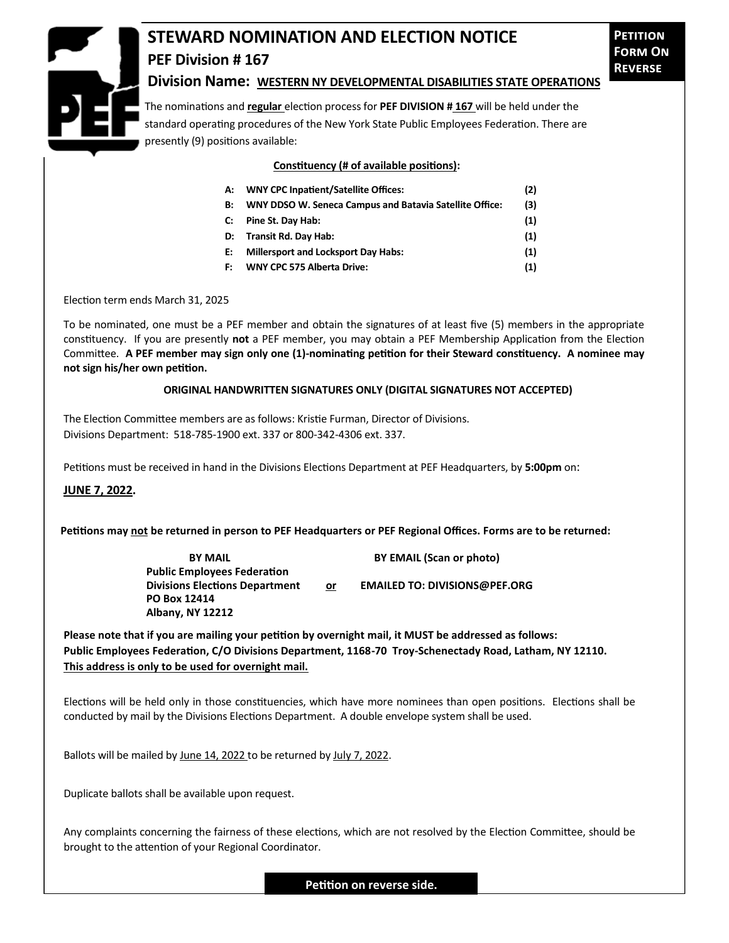## **PEF Division # 167**

## **STEWARD NOMINATION AND ELECTION NOTICE**

## **Division Name: WESTERN NY DEVELOPMENTAL DISABILITIES STATE OPERATIONS**

The nominations and **regular** election process for **PEF DIVISION # 167** will be held under the standard operating procedures of the New York State Public Employees Federation. There are presently (9) positions available:

**Constituency (# of available positions):**

| А: | <b>WNY CPC Inpatient/Satellite Offices:</b>                | (2) |
|----|------------------------------------------------------------|-----|
|    | B: WNY DDSO W. Seneca Campus and Batavia Satellite Office: | (3) |
|    | C: Pine St. Day Hab:                                       | (1) |
|    | D: Transit Rd. Day Hab:                                    | (1) |
|    | E: Millersport and Locksport Day Habs:                     | (1) |
|    | F: WNY CPC 575 Alberta Drive:                              | (1) |

Election term ends March 31, 2025

To be nominated, one must be a PEF member and obtain the signatures of at least five (5) members in the appropriate constituency. If you are presently **not** a PEF member, you may obtain a PEF Membership Application from the Election Committee. **A PEF member may sign only one (1)-nominating petition for their Steward constituency. A nominee may not sign his/her own petition.**

## **ORIGINAL HANDWRITTEN SIGNATURES ONLY (DIGITAL SIGNATURES NOT ACCEPTED)**

The Election Committee members are as follows: Kristie Furman, Director of Divisions. Divisions Department: 518-785-1900 ext. 337 or 800-342-4306 ext. 337.

Petitions must be received in hand in the Divisions Elections Department at PEF Headquarters, by **5:00pm** on:

**JUNE 7, 2022.**

**Petitions may not be returned in person to PEF Headquarters or PEF Regional Offices. Forms are to be returned:**

**BY MAIL BY EMAIL (Scan or photo) Public Employees Federation** Divisions Elections Department or **EMAILED TO: DIVISIONS@PEF.ORG PO Box 12414 Albany, NY 12212**

**Please note that if you are mailing your petition by overnight mail, it MUST be addressed as follows: Public Employees Federation, C/O Divisions Department, 1168-70 Troy-Schenectady Road, Latham, NY 12110. This address is only to be used for overnight mail.**

Elections will be held only in those constituencies, which have more nominees than open positions. Elections shall be conducted by mail by the Divisions Elections Department. A double envelope system shall be used.

Ballots will be mailed by June 14, 2022 to be returned by July 7, 2022.

Duplicate ballots shall be available upon request.

Any complaints concerning the fairness of these elections, which are not resolved by the Election Committee, should be brought to the attention of your Regional Coordinator.

**Petition on reverse side.**